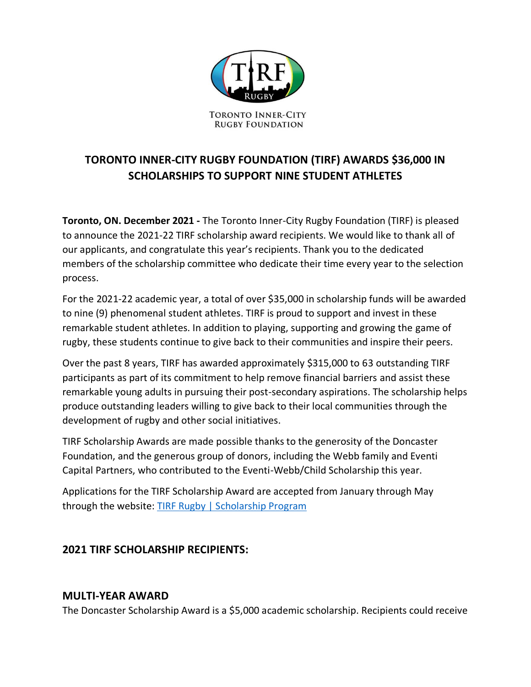

# **TORONTO INNER-CITY RUGBY FOUNDATION (TIRF) AWARDS \$36,000 IN SCHOLARSHIPS TO SUPPORT NINE STUDENT ATHLETES**

**Toronto, ON. December 2021 -** The Toronto Inner-City Rugby Foundation (TIRF) is pleased to announce the 2021-22 TIRF scholarship award recipients. We would like to thank all of our applicants, and congratulate this year's recipients. Thank you to the dedicated members of the scholarship committee who dedicate their time every year to the selection process.

For the 2021-22 academic year, a total of over \$35,000 in scholarship funds will be awarded to nine (9) phenomenal student athletes. TIRF is proud to support and invest in these remarkable student athletes. In addition to playing, supporting and growing the game of rugby, these students continue to give back to their communities and inspire their peers.

Over the past 8 years, TIRF has awarded approximately \$315,000 to 63 outstanding TIRF participants as part of its commitment to help remove financial barriers and assist these remarkable young adults in pursuing their post-secondary aspirations. The scholarship helps produce outstanding leaders willing to give back to their local communities through the development of rugby and other social initiatives.

TIRF Scholarship Awards are made possible thanks to the generosity of the Doncaster Foundation, and the generous group of donors, including the Webb family and Eventi Capital Partners, who contributed to the Eventi-Webb/Child Scholarship this year.

Applications for the TIRF Scholarship Award are accepted from January through May through the website: [TIRF Rugby | Scholarship Program](https://tirfrugby.ca/MyFuture/)

# **2021 TIRF SCHOLARSHIP RECIPIENTS:**

#### **MULTI-YEAR AWARD**

The Doncaster Scholarship Award is a \$5,000 academic scholarship. Recipients could receive